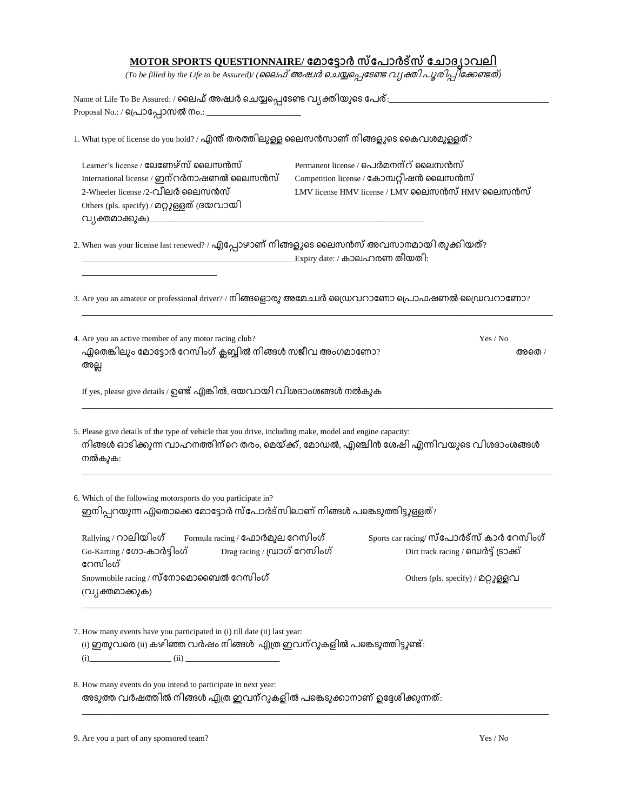## **MOTOR SPORTS QUESTIONNAIRE/**

*(To be filled by the Life to be Assured)/ ( )*

Name of Life To Be Assured: / ലൈഫ് അഷ്വർ ചെയ്യപ്പെടേണ്ട വ്യക്തിയുടെ പേര്: Proposal No.: / പ്രൊപ്പോസൽ നം.: \_

1. What type of license do you hold? / എന്ത് തരത്തിലുള്ള ലൈസൻസാണ് നിങ്ങളുടെ കൈവശമുള്ളത്?

| Learner's license / ലേണേഴ്സ് ലൈസൻസ്<br>International license / ഇന്റർനാഷണൽ ലൈസൻസ്<br>2-Wheeler license /2-വീലർ ലൈസൻസ്<br>Others (pls. specify) / മറ്റുള്ളത് (ദയവായി<br>വ്യക്തമാക്കുക)__________________       | Permanent license / പെർമനന്റ് ലൈസൻസ്<br>Competition license / കോമ്പറ്റിഷൻ ലൈസൻസ്<br>LMV license HMV license / LMV ലൈസൻസ് HMV ലൈസൻസ് |  |  |  |  |
|--------------------------------------------------------------------------------------------------------------------------------------------------------------------------------------------------------------|-------------------------------------------------------------------------------------------------------------------------------------|--|--|--|--|
| 2. When was your license last renewed? / എപ്പോഴാണ് നിങ്ങളുടെ ലൈസൻസ് അവസാനമായി തുക്കിയത്?                                                                                                                     | Expiry date: / കാലഹരണ തീയതി:                                                                                                        |  |  |  |  |
|                                                                                                                                                                                                              | 3. Are you an amateur or professional driver? / നിങ്ങളൊരു അമേച്ചർ ഡ്രൈവറാണോ പ്രൊഫഷണൽ ഡ്രൈവറാണോ?                                     |  |  |  |  |
| 4. Are you an active member of any motor racing club?<br>ഏതെങ്കിലും മോട്ടോർ റേസിംഗ് ക്ലബ്ബിൽ നിങ്ങൾ സജീവ അംഗമാണോ?<br>അല്ല                                                                                    | Yes / No<br>അതെ /                                                                                                                   |  |  |  |  |
| If yes, please give details / ഉണ്ട് എങ്കിൽ, ദയവായി വിശദാംശങ്ങൾ നൽകുക                                                                                                                                         |                                                                                                                                     |  |  |  |  |
| 5. Please give details of the type of vehicle that you drive, including make, model and engine capacity:<br>നിങ്ങൾ ഓടിക്കുന്ന വാഹനത്തിന്റെ തരം, മെയ്ക്ക്, മോഡൽ, എഞ്ചിൻ ശേഷി എന്നിവയുടെ വിശദാംശങ്ങൾ<br>നൽകുക: |                                                                                                                                     |  |  |  |  |
| 6. Which of the following motorsports do you participate in?<br>ഇനിപ്പറയുന്ന ഏതൊക്കെ മോട്ടോർ സ്പോർട്സിലാണ് നിങ്ങൾ പങ്കെടുത്തിട്ടുള്ളത്?                                                                      |                                                                                                                                     |  |  |  |  |
| Rallying / റാലിയിംഗ്<br>Formula racing / ഫോർമുല റേസിംഗ്<br>Go-Karting / ഗോ-കാർട്ടിംഗ്<br>Drag racing / (ഡാഗ് റേസിംഗ്<br>റേസിംഗ്                                                                              | Sports car racing/ സ്പോർട്സ് കാർ റേസിംഗ്<br>Dirt track racing / ഡെർട്ട് ട്രാക്ക്                                                    |  |  |  |  |
| Snowmobile racing / സ്നോമൊബൈൽ റേസിംഗ്<br>(വ്യക്തമാക്കുക)                                                                                                                                                     | Others (pls. specify) / മറ്റുള്ളവ                                                                                                   |  |  |  |  |
| 7. How many events have you participated in (i) till date (ii) last year:<br>(i) ഇതുവരെ (ii) കഴിഞ്ഞ വർഷം നിങ്ങൾ  എത്ര ഇവന്റുകളിൽ പങ്കെടുത്തിട്ടുണ്ട്:<br>$(i)$ $(ii)$                                        |                                                                                                                                     |  |  |  |  |

8. How many events do you intend to participate in next year: അടുത്ത വർഷത്തിൽ നിങ്ങൾ എത്ര ഇവന്റുകളിൽ പങ്കെടുക്കാനാണ് ഉദ്ദേശിക്കുന്നത്:

\_\_\_\_\_\_\_\_\_\_\_\_\_\_\_\_\_\_\_\_\_\_\_\_\_\_\_\_\_\_\_\_\_\_\_\_\_\_\_\_\_\_\_\_\_\_\_\_\_\_\_\_\_\_\_\_\_\_\_\_\_\_\_\_\_\_\_\_\_\_\_\_\_\_\_\_\_\_\_\_\_\_\_\_\_\_\_\_\_\_\_\_\_\_\_\_\_\_\_\_\_\_\_\_\_\_\_\_\_\_\_\_\_\_

9. Are you a part of any sponsored team? Yes / No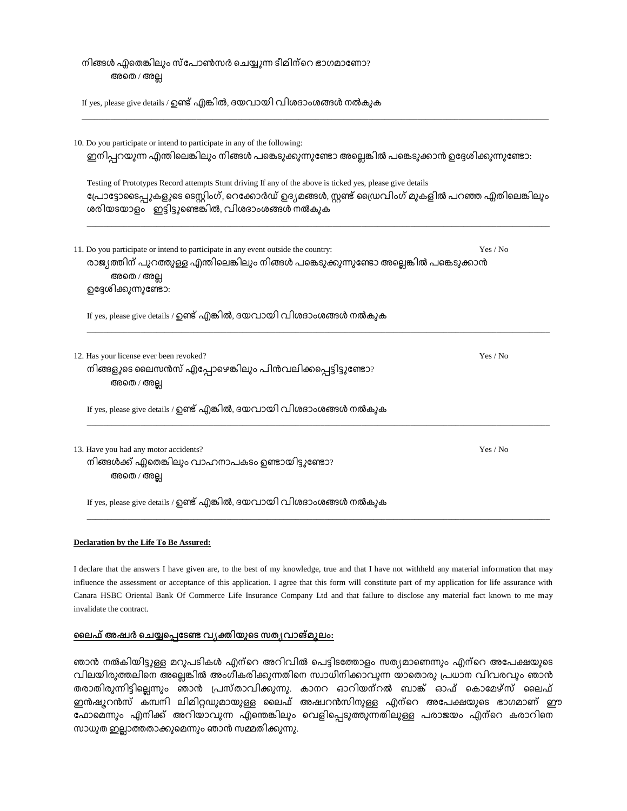| നിങ്ങൾ ഏതെങ്കിലും സ്പോൺസർ ചെയ്യുന്ന ടീമിന്റെ ഭാഗമാണോ?<br>അതെ / അല്ല                                                                                                                                                                                                  |          |  |  |  |  |
|----------------------------------------------------------------------------------------------------------------------------------------------------------------------------------------------------------------------------------------------------------------------|----------|--|--|--|--|
| If yes, please give details / ഉണ്ട് എങ്കിൽ, ദയവായി വിശദാംശങ്ങൾ നൽകുക                                                                                                                                                                                                 |          |  |  |  |  |
| 10. Do you participate or intend to participate in any of the following:<br>ഇനിപ്പറയുന്ന എന്തിലെങ്കിലും നിങ്ങൾ പങ്കെടുക്കുന്നുണ്ടോ അല്ലെങ്കിൽ പങ്കെടുക്കാൻ ഉദ്ദേശിക്കുന്നുണ്ടോ:                                                                                      |          |  |  |  |  |
| Testing of Prototypes Record attempts Stunt driving If any of the above is ticked yes, please give details<br>പ്രോട്ടോടൈപ്പുകളുടെ ടെസ്റ്റിംഗ്, റെക്കോർഡ് ഉദ്യമങ്ങൾ, സ്റ്റണ്ട് ഡ്രൈവിംഗ് മുകളിൽ പറഞ്ഞ ഏതിലെങ്കിലും<br>ശരിയടയാളം ഇട്ടിട്ടുണ്ടെങ്കിൽ, വിശദാംശങ്ങൾ നൽകുക |          |  |  |  |  |
| 11. Do you participate or intend to participate in any event outside the country:<br>രാജ്യത്തിന് പുറത്തുള്ള എന്തിലെങ്കിലും നിങ്ങൾ പങ്കെടുക്കുന്നുണ്ടോ അല്ലെങ്കിൽ പങ്കെടുക്കാൻ<br>അതെ / അല്ല<br>ഉദ്ദേശിക്കുന്നുണ്ടോ:                                                  | Yes / No |  |  |  |  |
| If yes, please give details / ഉണ്ട് എങ്കിൽ, ദയവായി വിശദാംശങ്ങൾ നൽകുക                                                                                                                                                                                                 |          |  |  |  |  |
| 12. Has your license ever been revoked?<br>നിങ്ങളുടെ ലൈസൻസ് എപ്പോഴെങ്കിലും പിൻവലിക്കപ്പെട്ടിട്ടുണ്ടോ?<br>അതെ / അല്ല                                                                                                                                                  | Yes / No |  |  |  |  |
| If yes, please give details / ഉണ്ട് എങ്കിൽ, ദയവായി വിശദാംശങ്ങൾ നൽകുക                                                                                                                                                                                                 |          |  |  |  |  |
| 13. Have you had any motor accidents?<br>നിങ്ങൾക്ക് ഏതെങ്കിലും വാഹനാപകടം ഉണ്ടായിട്ടുണ്ടോ?<br>അതെ / അല്ല                                                                                                                                                              | Yes / No |  |  |  |  |
| If yes, please give details / ഉണ്ട് എങ്കിൽ, ദയവായി വിശദാംശങ്ങൾ നൽകുക                                                                                                                                                                                                 |          |  |  |  |  |

## **Declaration by the Life To Be Assured:**

I declare that the answers I have given are, to the best of my knowledge, true and that I have not withheld any material information that may influence the assessment or acceptance of this application. I agree that this form will constitute part of my application for life assurance with Canara HSBC Oriental Bank Of Commerce Life Insurance Company Ltd and that failure to disclose any material fact known to me may invalidate the contract.

## <u>ലൈഫ് അഷ്വർ ചെയ്യപ്പെടേണ്ട വ്യക്തിയുടെ സത്യവാങ്മൂലം:</u>

ഞാൻ നൽകിയിട്ടുള്ള മറുപടികൾ എന്റെ അറിവിൽ പെട്ടിടത്തോളം സത്യമാണെന്നും എന്റെ അപേക്ഷയുടെ വിലയിരുത്തലിനെ അല്ലെങ്കിൽ അംഗീകരിക്കുന്നതിനെ സ്ഥാധീനിക്കാവുന്ന യാതൊരു പ്രധാന വിവരവും ഞാൻ .<br>തരാതിരുന്നിട്ടില്ലെന്നും ഞാൻ പ്രസ്താവിക്കുന്നു. കാനറ ഓറിയന്റൽ ബാങ്ക് ഓഫ് കൊമേഴ്സ് ലൈഫ് ഇൻഷൂറൻസ് കമ്പനി ലിമിറ്റഡുമായുള്ള ലൈഫ് അഷ്വറൻസിനുള്ള എന്റെ അപേക്ഷയുടെ ഭാഗമാണ് ഈ ഫോമെന്നും എനിക്ക് അറിയാവുന്ന എന്തെങ്കിലും വെളിപ്പെടുത്തുന്നതിലുള്ള പരാജയം എന്റെ കരാറിനെ സാധുത ഇല്ലാത്തതാക്കുമെന്നും ഞാൻ സമ്മതിക്കുന്നു.